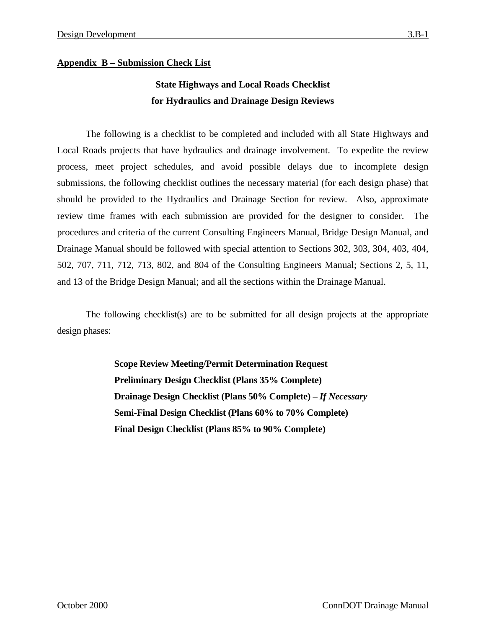# **State Highways and Local Roads Checklist for Hydraulics and Drainage Design Reviews**

The following is a checklist to be completed and included with all State Highways and Local Roads projects that have hydraulics and drainage involvement. To expedite the review process, meet project schedules, and avoid possible delays due to incomplete design submissions, the following checklist outlines the necessary material (for each design phase) that should be provided to the Hydraulics and Drainage Section for review. Also, approximate review time frames with each submission are provided for the designer to consider. The procedures and criteria of the current Consulting Engineers Manual, Bridge Design Manual, and Drainage Manual should be followed with special attention to Sections 302, 303, 304, 403, 404, 502, 707, 711, 712, 713, 802, and 804 of the Consulting Engineers Manual; Sections 2, 5, 11, and 13 of the Bridge Design Manual; and all the sections within the Drainage Manual.

The following checklist(s) are to be submitted for all design projects at the appropriate design phases:

> **Scope Review Meeting/Permit Determination Request Preliminary Design Checklist (Plans 35% Complete) Drainage Design Checklist (Plans 50% Complete) –** *If Necessary* **Semi-Final Design Checklist (Plans 60% to 70% Complete) Final Design Checklist (Plans 85% to 90% Complete)**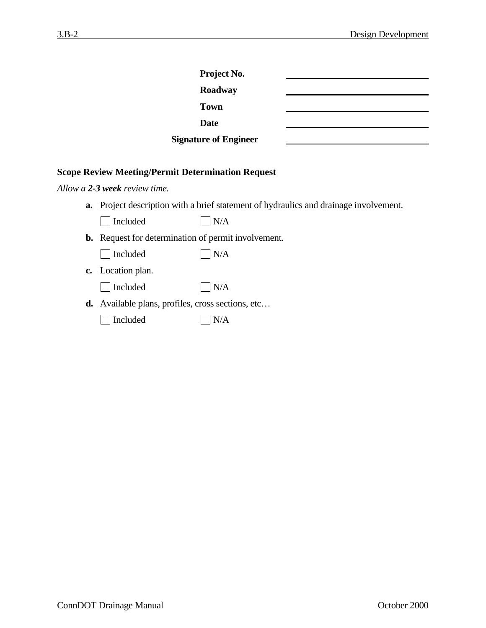| <b>Project No.</b>           |  |
|------------------------------|--|
| Roadway                      |  |
| <b>Town</b>                  |  |
| Date                         |  |
| <b>Signature of Engineer</b> |  |

## **Scope Review Meeting/Permit Determination Request**

*Allow a 2-3 week review time.* 

**a.** Project description with a brief statement of hydraulics and drainage involvement.

| $\Box$ Included | $\vert$ $\vert$ N/A |
|-----------------|---------------------|
|-----------------|---------------------|

**b.** Request for determination of permit involvement.

|  | l Included |  | $\mathsf{IN/A}$ |
|--|------------|--|-----------------|
|--|------------|--|-----------------|

**c.** Location plan.

|  | l Included |  | IN/A |
|--|------------|--|------|
|--|------------|--|------|

- **d.** Available plans, profiles, cross sections, etc…
	- Included  $N/A$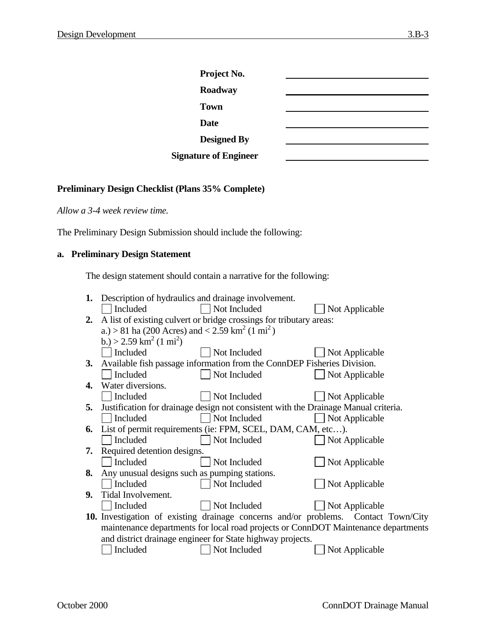| Project No.                  |  |
|------------------------------|--|
| Roadway                      |  |
| <b>Town</b>                  |  |
| <b>Date</b>                  |  |
| <b>Designed By</b>           |  |
| <b>Signature of Engineer</b> |  |

## **Preliminary Design Checklist (Plans 35% Complete)**

*Allow a 3-4 week review time.* 

The Preliminary Design Submission should include the following:

# **a. Preliminary Design Statement**

The design statement should contain a narrative for the following:

| Included                                                                           | Not Included                               | Not Applicable                                                                                                                                                                                                                                                                                                                                                                                                                                                                                                                                                                                                                                                                                       |
|------------------------------------------------------------------------------------|--------------------------------------------|------------------------------------------------------------------------------------------------------------------------------------------------------------------------------------------------------------------------------------------------------------------------------------------------------------------------------------------------------------------------------------------------------------------------------------------------------------------------------------------------------------------------------------------------------------------------------------------------------------------------------------------------------------------------------------------------------|
|                                                                                    |                                            |                                                                                                                                                                                                                                                                                                                                                                                                                                                                                                                                                                                                                                                                                                      |
|                                                                                    |                                            |                                                                                                                                                                                                                                                                                                                                                                                                                                                                                                                                                                                                                                                                                                      |
| b.) > 2.59 km <sup>2</sup> (1 mi <sup>2</sup> )                                    |                                            |                                                                                                                                                                                                                                                                                                                                                                                                                                                                                                                                                                                                                                                                                                      |
| Included                                                                           | Not Included                               | Not Applicable                                                                                                                                                                                                                                                                                                                                                                                                                                                                                                                                                                                                                                                                                       |
|                                                                                    |                                            |                                                                                                                                                                                                                                                                                                                                                                                                                                                                                                                                                                                                                                                                                                      |
| Included                                                                           | Not Included                               | Not Applicable                                                                                                                                                                                                                                                                                                                                                                                                                                                                                                                                                                                                                                                                                       |
| Water diversions.                                                                  |                                            |                                                                                                                                                                                                                                                                                                                                                                                                                                                                                                                                                                                                                                                                                                      |
| Included                                                                           | Not Included                               | Not Applicable                                                                                                                                                                                                                                                                                                                                                                                                                                                                                                                                                                                                                                                                                       |
|                                                                                    |                                            |                                                                                                                                                                                                                                                                                                                                                                                                                                                                                                                                                                                                                                                                                                      |
| Included                                                                           | Not Included                               | Not Applicable                                                                                                                                                                                                                                                                                                                                                                                                                                                                                                                                                                                                                                                                                       |
|                                                                                    |                                            |                                                                                                                                                                                                                                                                                                                                                                                                                                                                                                                                                                                                                                                                                                      |
| Included                                                                           | Not Included                               | Not Applicable                                                                                                                                                                                                                                                                                                                                                                                                                                                                                                                                                                                                                                                                                       |
|                                                                                    |                                            |                                                                                                                                                                                                                                                                                                                                                                                                                                                                                                                                                                                                                                                                                                      |
| Included                                                                           | Not Included                               | Not Applicable                                                                                                                                                                                                                                                                                                                                                                                                                                                                                                                                                                                                                                                                                       |
|                                                                                    |                                            |                                                                                                                                                                                                                                                                                                                                                                                                                                                                                                                                                                                                                                                                                                      |
| Included                                                                           | Not Included                               | Not Applicable                                                                                                                                                                                                                                                                                                                                                                                                                                                                                                                                                                                                                                                                                       |
|                                                                                    |                                            |                                                                                                                                                                                                                                                                                                                                                                                                                                                                                                                                                                                                                                                                                                      |
|                                                                                    | Not Included                               | Not Applicable                                                                                                                                                                                                                                                                                                                                                                                                                                                                                                                                                                                                                                                                                       |
|                                                                                    |                                            |                                                                                                                                                                                                                                                                                                                                                                                                                                                                                                                                                                                                                                                                                                      |
| maintenance departments for local road projects or ConnDOT Maintenance departments |                                            |                                                                                                                                                                                                                                                                                                                                                                                                                                                                                                                                                                                                                                                                                                      |
|                                                                                    |                                            |                                                                                                                                                                                                                                                                                                                                                                                                                                                                                                                                                                                                                                                                                                      |
|                                                                                    |                                            | Not Applicable                                                                                                                                                                                                                                                                                                                                                                                                                                                                                                                                                                                                                                                                                       |
|                                                                                    | Tidal Involvement.<br>Included<br>Included | 1. Description of hydraulics and drainage involvement.<br>A list of existing culvert or bridge crossings for tributary areas:<br>a.) > 81 ha (200 Acres) and < 2.59 km <sup>2</sup> (1 mi <sup>2</sup> )<br>Available fish passage information from the ConnDEP Fisheries Division.<br>Justification for drainage design not consistent with the Drainage Manual criteria.<br>List of permit requirements (ie: FPM, SCEL, DAM, CAM, etc).<br>Required detention designs.<br>Any unusual designs such as pumping stations.<br><b>10.</b> Investigation of existing drainage concerns and/or problems. Contact Town/City<br>and district drainage engineer for State highway projects.<br>Not Included |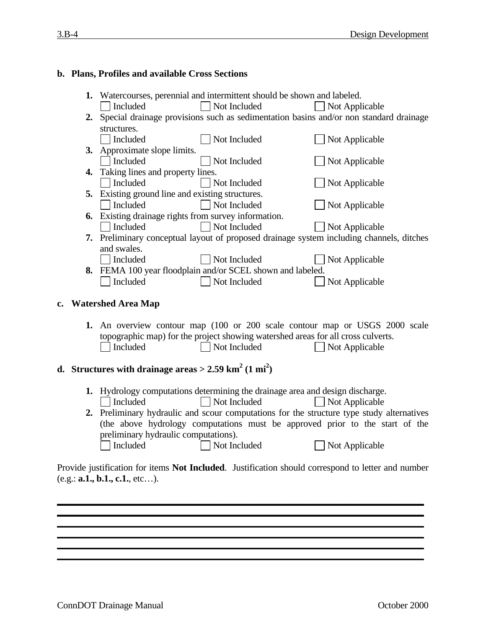## **b. Plans, Profiles and available Cross Sections**

|    | 1. Watercourses, perennial and intermittent should be shown and labeled. |                                                                           |                                                                                                                                                                                                                                                                                                                                                                                                                                                                                                                                                                                                                                                                                                                                                                                                                                                                                                                                 |
|----|--------------------------------------------------------------------------|---------------------------------------------------------------------------|---------------------------------------------------------------------------------------------------------------------------------------------------------------------------------------------------------------------------------------------------------------------------------------------------------------------------------------------------------------------------------------------------------------------------------------------------------------------------------------------------------------------------------------------------------------------------------------------------------------------------------------------------------------------------------------------------------------------------------------------------------------------------------------------------------------------------------------------------------------------------------------------------------------------------------|
|    | Included                                                                 | Not Included                                                              | Not Applicable                                                                                                                                                                                                                                                                                                                                                                                                                                                                                                                                                                                                                                                                                                                                                                                                                                                                                                                  |
|    |                                                                          |                                                                           |                                                                                                                                                                                                                                                                                                                                                                                                                                                                                                                                                                                                                                                                                                                                                                                                                                                                                                                                 |
|    | structures.                                                              |                                                                           |                                                                                                                                                                                                                                                                                                                                                                                                                                                                                                                                                                                                                                                                                                                                                                                                                                                                                                                                 |
|    | Included                                                                 | Not Included                                                              | Not Applicable                                                                                                                                                                                                                                                                                                                                                                                                                                                                                                                                                                                                                                                                                                                                                                                                                                                                                                                  |
|    |                                                                          |                                                                           |                                                                                                                                                                                                                                                                                                                                                                                                                                                                                                                                                                                                                                                                                                                                                                                                                                                                                                                                 |
|    | Included                                                                 | Not Included                                                              | Not Applicable                                                                                                                                                                                                                                                                                                                                                                                                                                                                                                                                                                                                                                                                                                                                                                                                                                                                                                                  |
| 4. |                                                                          |                                                                           |                                                                                                                                                                                                                                                                                                                                                                                                                                                                                                                                                                                                                                                                                                                                                                                                                                                                                                                                 |
|    | Included                                                                 | Not Included                                                              | Not Applicable                                                                                                                                                                                                                                                                                                                                                                                                                                                                                                                                                                                                                                                                                                                                                                                                                                                                                                                  |
|    |                                                                          |                                                                           |                                                                                                                                                                                                                                                                                                                                                                                                                                                                                                                                                                                                                                                                                                                                                                                                                                                                                                                                 |
|    | Included                                                                 |                                                                           | Not Applicable                                                                                                                                                                                                                                                                                                                                                                                                                                                                                                                                                                                                                                                                                                                                                                                                                                                                                                                  |
|    |                                                                          |                                                                           |                                                                                                                                                                                                                                                                                                                                                                                                                                                                                                                                                                                                                                                                                                                                                                                                                                                                                                                                 |
|    |                                                                          | Not Included                                                              | Not Applicable                                                                                                                                                                                                                                                                                                                                                                                                                                                                                                                                                                                                                                                                                                                                                                                                                                                                                                                  |
|    |                                                                          |                                                                           |                                                                                                                                                                                                                                                                                                                                                                                                                                                                                                                                                                                                                                                                                                                                                                                                                                                                                                                                 |
|    | and swales.                                                              |                                                                           |                                                                                                                                                                                                                                                                                                                                                                                                                                                                                                                                                                                                                                                                                                                                                                                                                                                                                                                                 |
|    |                                                                          |                                                                           | Not Applicable                                                                                                                                                                                                                                                                                                                                                                                                                                                                                                                                                                                                                                                                                                                                                                                                                                                                                                                  |
|    |                                                                          |                                                                           |                                                                                                                                                                                                                                                                                                                                                                                                                                                                                                                                                                                                                                                                                                                                                                                                                                                                                                                                 |
|    |                                                                          |                                                                           | Not Applicable                                                                                                                                                                                                                                                                                                                                                                                                                                                                                                                                                                                                                                                                                                                                                                                                                                                                                                                  |
|    |                                                                          |                                                                           |                                                                                                                                                                                                                                                                                                                                                                                                                                                                                                                                                                                                                                                                                                                                                                                                                                                                                                                                 |
|    |                                                                          |                                                                           |                                                                                                                                                                                                                                                                                                                                                                                                                                                                                                                                                                                                                                                                                                                                                                                                                                                                                                                                 |
|    |                                                                          |                                                                           |                                                                                                                                                                                                                                                                                                                                                                                                                                                                                                                                                                                                                                                                                                                                                                                                                                                                                                                                 |
|    |                                                                          |                                                                           |                                                                                                                                                                                                                                                                                                                                                                                                                                                                                                                                                                                                                                                                                                                                                                                                                                                                                                                                 |
|    |                                                                          |                                                                           |                                                                                                                                                                                                                                                                                                                                                                                                                                                                                                                                                                                                                                                                                                                                                                                                                                                                                                                                 |
|    |                                                                          |                                                                           | Not Applicable                                                                                                                                                                                                                                                                                                                                                                                                                                                                                                                                                                                                                                                                                                                                                                                                                                                                                                                  |
|    |                                                                          |                                                                           |                                                                                                                                                                                                                                                                                                                                                                                                                                                                                                                                                                                                                                                                                                                                                                                                                                                                                                                                 |
|    |                                                                          |                                                                           |                                                                                                                                                                                                                                                                                                                                                                                                                                                                                                                                                                                                                                                                                                                                                                                                                                                                                                                                 |
|    |                                                                          |                                                                           |                                                                                                                                                                                                                                                                                                                                                                                                                                                                                                                                                                                                                                                                                                                                                                                                                                                                                                                                 |
|    |                                                                          |                                                                           |                                                                                                                                                                                                                                                                                                                                                                                                                                                                                                                                                                                                                                                                                                                                                                                                                                                                                                                                 |
|    | Included                                                                 | Not Included                                                              | Not Applicable                                                                                                                                                                                                                                                                                                                                                                                                                                                                                                                                                                                                                                                                                                                                                                                                                                                                                                                  |
|    |                                                                          |                                                                           |                                                                                                                                                                                                                                                                                                                                                                                                                                                                                                                                                                                                                                                                                                                                                                                                                                                                                                                                 |
|    | 6.<br>1.                                                                 | Included<br>Included<br>Included<br><b>Watershed Area Map</b><br>Included | 2. Special drainage provisions such as sedimentation basins and/or non standard drainage<br>3. Approximate slope limits.<br>Taking lines and property lines.<br>5. Existing ground line and existing structures.<br>Not Included<br>Existing drainage rights from survey information.<br>7. Preliminary conceptual layout of proposed drainage system including channels, ditches<br>Not Included<br>8. FEMA 100 year floodplain and/or SCEL shown and labeled.<br>Not Included<br>An overview contour map (100 or 200 scale contour map or USGS 2000 scale<br>topographic map) for the project showing watershed areas for all cross culverts.<br>Not Included<br>d. Structures with drainage areas > $2.59 \text{ km}^2 \cdot (1 \text{ mi}^2)$<br>1. Hydrology computations determining the drainage area and design discharge.<br>2. Preliminary hydraulic and scour computations for the structure type study alternatives |

(the above hydrology computations must be approved prior to the start of the preliminary hydraulic computations).<br>  $\Box$  Included  $\Box$  Not Inc □ Not Included Not Applicable

Provide justification for items **Not Included**. Justification should correspond to letter and number (e.g.: **a.1., b.1., c.1.**, etc…).

**\_\_\_\_\_\_\_\_\_\_\_\_\_\_\_\_\_\_\_\_\_\_\_\_\_\_\_\_\_\_\_\_\_\_\_\_\_\_\_\_\_\_\_\_\_\_\_\_\_\_\_\_\_\_\_\_\_\_\_\_\_\_\_\_\_\_\_\_\_\_\_\_\_\_\_\_\_\_\_ \_\_\_\_\_\_\_\_\_\_\_\_\_\_\_\_\_\_\_\_\_\_\_\_\_\_\_\_\_\_\_\_\_\_\_\_\_\_\_\_\_\_\_\_\_\_\_\_\_\_\_\_\_\_\_\_\_\_\_\_\_\_\_\_\_\_\_\_\_\_\_\_\_\_\_\_\_\_\_**

**\_\_\_\_\_\_\_\_\_\_\_\_\_\_\_\_\_\_\_\_\_\_\_\_\_\_\_\_\_\_\_\_\_\_\_\_\_\_\_\_\_\_\_\_\_\_\_\_\_\_\_\_\_\_\_\_\_\_\_\_\_\_\_\_\_\_\_\_\_\_\_\_\_\_\_\_\_\_\_ \_\_\_\_\_\_\_\_\_\_\_\_\_\_\_\_\_\_\_\_\_\_\_\_\_\_\_\_\_\_\_\_\_\_\_\_\_\_\_\_\_\_\_\_\_\_\_\_\_\_\_\_\_\_\_\_\_\_\_\_\_\_\_\_\_\_\_\_\_\_\_\_\_\_\_\_\_\_\_ \_\_\_\_\_\_\_\_\_\_\_\_\_\_\_\_\_\_\_\_\_\_\_\_\_\_\_\_\_\_\_\_\_\_\_\_\_\_\_\_\_\_\_\_\_\_\_\_\_\_\_\_\_\_\_\_\_\_\_\_\_\_\_\_\_\_\_\_\_\_\_\_\_\_\_\_\_\_\_**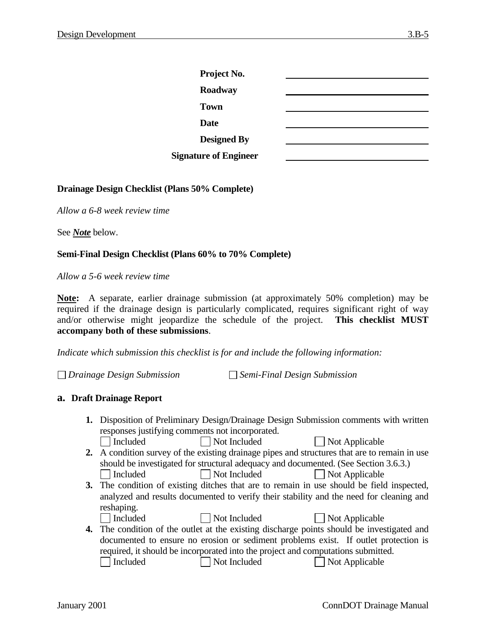| Project No.                  |  |
|------------------------------|--|
| Roadway                      |  |
| <b>Town</b>                  |  |
| <b>Date</b>                  |  |
| <b>Designed By</b>           |  |
| <b>Signature of Engineer</b> |  |

#### **Drainage Design Checklist (Plans 50% Complete)**

*Allow a 6-8 week review time* 

See *Note* below.

### **Semi-Final Design Checklist (Plans 60% to 70% Complete)**

*Allow a 5-6 week review time* 

**Note:** A separate, earlier drainage submission (at approximately 50% completion) may be required if the drainage design is particularly complicated, requires significant right of way and/or otherwise might jeopardize the schedule of the project. **This checklist MUST accompany both of these submissions**.

*Indicate which submission this checklist is for and include the following information:* 

*Drainage Design Submission Semi-Final Design Submission* 

#### **a. Draft Drainage Report**

- **1.** Disposition of Preliminary Design/Drainage Design Submission comments with written responses justifying comments not incorporated. □ Included Not Included Not Applicable
- **2.** A condition survey of the existing drainage pipes and structures that are to remain in use should be investigated for structural adequacy and documented. (See Section 3.6.3.) Included Not Included Not Applicable
- **3.** The condition of existing ditches that are to remain in use should be field inspected, analyzed and results documented to verify their stability and the need for cleaning and reshaping.
	- Included Not Included Not Applicable
- 
- 
- **4.** The condition of the outlet at the existing discharge points should be investigated and documented to ensure no erosion or sediment problems exist. If outlet protection is required, it should be incorporated into the project and computations submitted. Included Not Included Not Applicable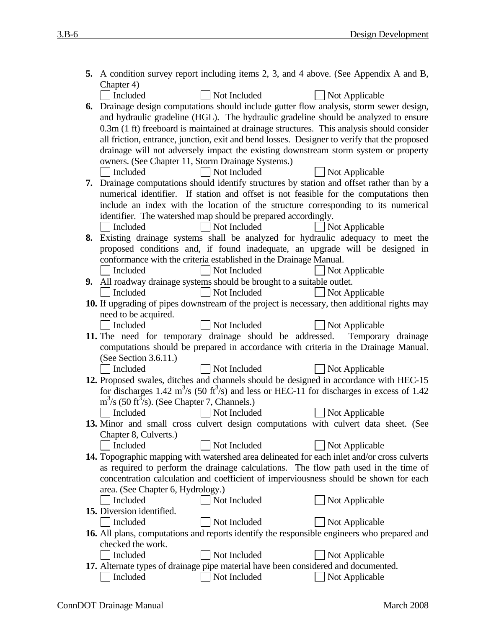| 5. A condition survey report including items 2, 3, and 4 above. (See Appendix A and B,                                |
|-----------------------------------------------------------------------------------------------------------------------|
| Chapter 4)                                                                                                            |
| Included<br>Not Included<br>$\Box$ Not Applicable                                                                     |
| 6. Drainage design computations should include gutter flow analysis, storm sewer design,                              |
| and hydraulic gradeline (HGL). The hydraulic gradeline should be analyzed to ensure                                   |
| 0.3m (1 ft) freeboard is maintained at drainage structures. This analysis should consider                             |
| all friction, entrance, junction, exit and bend losses. Designer to verify that the proposed                          |
| drainage will not adversely impact the existing downstream storm system or property                                   |
| owners. (See Chapter 11, Storm Drainage Systems.)<br>Not Included<br>Not Applicable<br>$\vert$ Included               |
| 7. Drainage computations should identify structures by station and offset rather than by a                            |
| numerical identifier. If station and offset is not feasible for the computations then                                 |
| include an index with the location of the structure corresponding to its numerical                                    |
| identifier. The watershed map should be prepared accordingly.                                                         |
| Not Included<br>$\vert$ Not Applicable<br>Included                                                                    |
| 8. Existing drainage systems shall be analyzed for hydraulic adequacy to meet the                                     |
| proposed conditions and, if found inadequate, an upgrade will be designed in                                          |
| conformance with the criteria established in the Drainage Manual.                                                     |
| Not Included<br>  Included<br>$\Box$ Not Applicable                                                                   |
| 9. All roadway drainage systems should be brought to a suitable outlet.                                               |
| Not Included<br>Included<br>$\Box$ Not Applicable                                                                     |
| 10. If upgrading of pipes downstream of the project is necessary, then additional rights may                          |
| need to be acquired.                                                                                                  |
| Not Included<br>  Included<br>Not Applicable                                                                          |
| 11. The need for temporary drainage should be addressed. Temporary drainage                                           |
| computations should be prepared in accordance with criteria in the Drainage Manual.<br>(See Section $3.6.11$ .)       |
| Not Included<br>  Included<br>$\Box$ Not Applicable                                                                   |
| 12. Proposed swales, ditches and channels should be designed in accordance with HEC-15                                |
| for discharges 1.42 $\text{m}^3\text{/s}$ (50 ft <sup>3</sup> /s) and less or HEC-11 for discharges in excess of 1.42 |
| $m3/s$ (50 ft <sup>3</sup> /s). (See Chapter 7, Channels.)                                                            |
| Included<br>  Not Included<br>$\Box$ Not Applicable                                                                   |
| 13. Minor and small cross culvert design computations with culvert data sheet. (See                                   |
| Chapter 8, Culverts.)                                                                                                 |
| Not Included<br>Included<br>Not Applicable                                                                            |
| 14. Topographic mapping with watershed area delineated for each inlet and/or cross culverts                           |
| as required to perform the drainage calculations. The flow path used in the time of                                   |
| concentration calculation and coefficient of imperviousness should be shown for each                                  |
| area. (See Chapter 6, Hydrology.)                                                                                     |
| Not Included<br>Included<br>Not Applicable<br>15. Diversion identified.                                               |
| Not Included<br>Included<br>Not Applicable                                                                            |
| 16. All plans, computations and reports identify the responsible engineers who prepared and                           |
| checked the work.                                                                                                     |
| Included<br>Not Included<br>Not Applicable                                                                            |
| 17. Alternate types of drainage pipe material have been considered and documented.                                    |
| Included<br>Not Included<br>Not Applicable                                                                            |
|                                                                                                                       |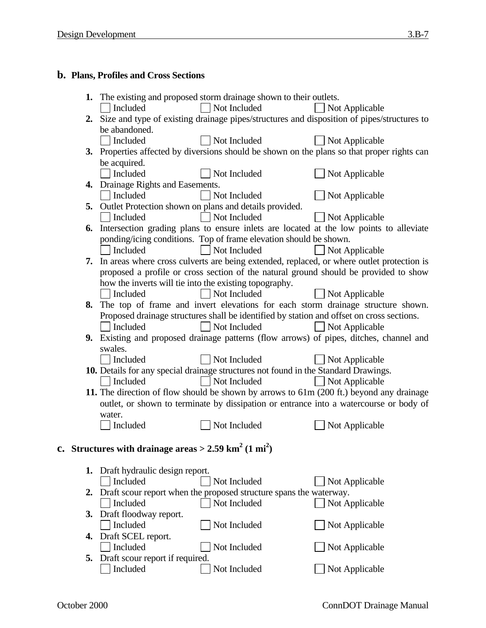# **b. Plans, Profiles and Cross Sections**

|    |                                                                                | 1. The existing and proposed storm drainage shown to their outlets.                       |                                                                                               |
|----|--------------------------------------------------------------------------------|-------------------------------------------------------------------------------------------|-----------------------------------------------------------------------------------------------|
|    | Included                                                                       | Not Included                                                                              | Not Applicable                                                                                |
|    |                                                                                |                                                                                           | 2. Size and type of existing drainage pipes/structures and disposition of pipes/structures to |
|    | be abandoned.                                                                  |                                                                                           |                                                                                               |
|    | Included                                                                       | Not Included                                                                              | Not Applicable                                                                                |
|    |                                                                                |                                                                                           | 3. Properties affected by diversions should be shown on the plans so that proper rights can   |
|    | be acquired.                                                                   |                                                                                           |                                                                                               |
|    | Included                                                                       | Not Included                                                                              | Not Applicable                                                                                |
|    | 4. Drainage Rights and Easements.                                              |                                                                                           |                                                                                               |
|    | Included                                                                       | Not Included                                                                              | Not Applicable                                                                                |
|    |                                                                                | 5. Outlet Protection shown on plans and details provided.                                 |                                                                                               |
|    | Included                                                                       | Not Included                                                                              | Not Applicable                                                                                |
|    |                                                                                |                                                                                           | 6. Intersection grading plans to ensure inlets are located at the low points to alleviate     |
|    |                                                                                | ponding/icing conditions. Top of frame elevation should be shown.                         |                                                                                               |
|    | Included                                                                       | Not Included                                                                              | Not Applicable                                                                                |
|    |                                                                                |                                                                                           | 7. In areas where cross culverts are being extended, replaced, or where outlet protection is  |
|    |                                                                                |                                                                                           | proposed a profile or cross section of the natural ground should be provided to show          |
|    |                                                                                | how the inverts will tie into the existing topography.                                    |                                                                                               |
|    | Included                                                                       | Not Included                                                                              | Not Applicable                                                                                |
|    |                                                                                |                                                                                           | 8. The top of frame and invert elevations for each storm drainage structure shown.            |
|    |                                                                                | Proposed drainage structures shall be identified by station and offset on cross sections. |                                                                                               |
|    | Included                                                                       | Not Included                                                                              | Not Applicable                                                                                |
|    | swales.                                                                        |                                                                                           | 9. Existing and proposed drainage patterns (flow arrows) of pipes, ditches, channel and       |
|    | Included                                                                       | Not Included                                                                              | Not Applicable                                                                                |
|    |                                                                                | 10. Details for any special drainage structures not found in the Standard Drawings.       |                                                                                               |
|    | Included                                                                       | Not Included                                                                              | Not Applicable                                                                                |
|    |                                                                                |                                                                                           | 11. The direction of flow should be shown by arrows to 61m (200 ft.) beyond any drainage      |
|    |                                                                                |                                                                                           | outlet, or shown to terminate by dissipation or entrance into a watercourse or body of        |
|    | water.                                                                         |                                                                                           |                                                                                               |
|    | Included                                                                       | Not Included                                                                              | Not Applicable                                                                                |
|    |                                                                                |                                                                                           |                                                                                               |
|    | c. Structures with drainage areas > $2.59 \text{ km}^2 \cdot (1 \text{ mi}^2)$ |                                                                                           |                                                                                               |
|    | 1. Draft hydraulic design report.                                              |                                                                                           |                                                                                               |
|    | Included                                                                       | Not Included                                                                              | Not Applicable                                                                                |
| 2. |                                                                                | Draft scour report when the proposed structure spans the waterway.                        |                                                                                               |
|    | Included                                                                       | Not Included                                                                              | Not Applicable                                                                                |
| 3. | Draft floodway report.                                                         |                                                                                           |                                                                                               |
|    | Included                                                                       | Not Included                                                                              | Not Applicable                                                                                |
| 4. | Draft SCEL report.                                                             |                                                                                           |                                                                                               |
|    | Included                                                                       | Not Included                                                                              | Not Applicable                                                                                |
| 5. | Draft scour report if required.                                                |                                                                                           |                                                                                               |
|    | Included                                                                       | Not Included                                                                              | Not Applicable                                                                                |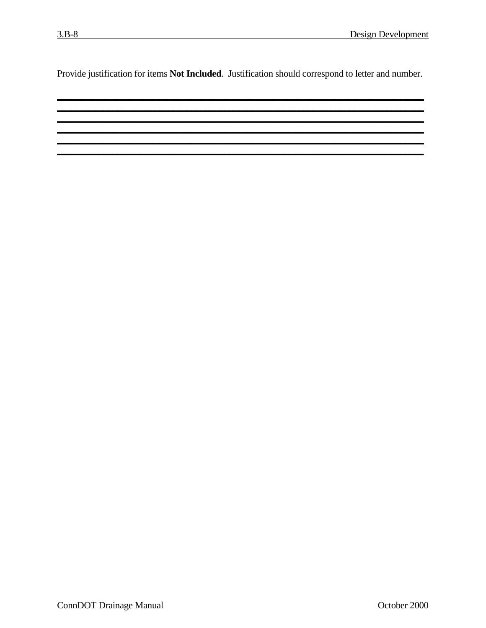Provide justification for items Not Included. Justification should correspond to letter and number.